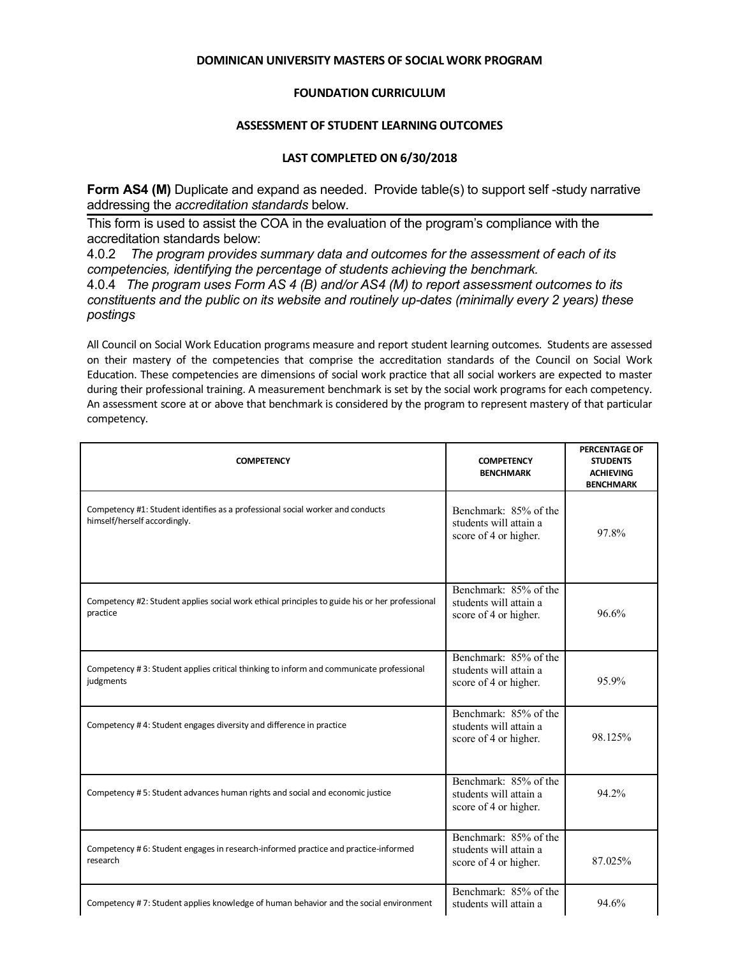## **DOMINICAN UNIVERSITY MASTERS OF SOCIAL WORK PROGRAM**

## **FOUNDATION CURRICULUM**

## **ASSESSMENT OF STUDENT LEARNING OUTCOMES**

## **LAST COMPLETED ON 6/30/2018**

Form AS4 (M) Duplicate and expand as needed. Provide table(s) to support self-study narrative addressing the *accreditation standards* below.

This form is used to assist the COA in the evaluation of the program's compliance with the accreditation standards below:

4.0.2 *The program provides summary data and outcomes for the assessment of each of its competencies, identifying the percentage of students achieving the benchmark.*

4.0.4 *The program uses Form AS 4 (B) and/or AS4 (M) to report assessment outcomes to its constituents and the public on its website and routinely up-dates (minimally every 2 years) these postings*

All Council on Social Work Education programs measure and report student learning outcomes. Students are assessed on their mastery of the competencies that comprise the accreditation standards of the Council on Social Work Education. These competencies are dimensions of social work practice that all social workers are expected to master during their professional training. A measurement benchmark is set by the social work programs for each competency. An assessment score at or above that benchmark is considered by the program to represent mastery of that particular competency.

| <b>COMPETENCY</b>                                                                                              | <b>COMPETENCY</b><br><b>BENCHMARK</b>                                    | PERCENTAGE OF<br><b>STUDENTS</b><br><b>ACHIEVING</b><br><b>BENCHMARK</b> |
|----------------------------------------------------------------------------------------------------------------|--------------------------------------------------------------------------|--------------------------------------------------------------------------|
| Competency #1: Student identifies as a professional social worker and conducts<br>himself/herself accordingly. | Benchmark: 85% of the<br>students will attain a<br>score of 4 or higher. | 97.8%                                                                    |
| Competency #2: Student applies social work ethical principles to guide his or her professional<br>practice     | Benchmark: 85% of the<br>students will attain a<br>score of 4 or higher. | 96.6%                                                                    |
| Competency #3: Student applies critical thinking to inform and communicate professional<br>judgments           | Benchmark: 85% of the<br>students will attain a<br>score of 4 or higher. | 95.9%                                                                    |
| Competency #4: Student engages diversity and difference in practice                                            | Benchmark: 85% of the<br>students will attain a<br>score of 4 or higher. | 98.125%                                                                  |
| Competency #5: Student advances human rights and social and economic justice                                   | Benchmark: 85% of the<br>students will attain a<br>score of 4 or higher. | 94.2%                                                                    |
| Competency #6: Student engages in research-informed practice and practice-informed<br>research                 | Benchmark: 85% of the<br>students will attain a<br>score of 4 or higher. | 87.025%                                                                  |
| Competency #7: Student applies knowledge of human behavior and the social environment                          | Benchmark: 85% of the<br>students will attain a                          | 94.6%                                                                    |